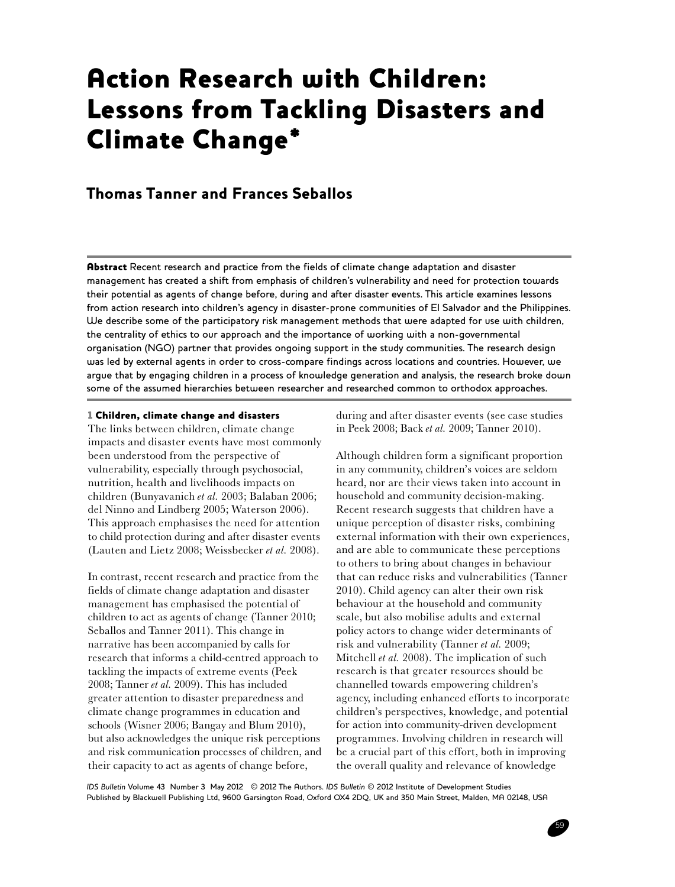# Action Research with Children: Lessons from Tackling Disasters and Climate Change\*

# Thomas Tanner and Frances Seballos

Abstract Recent research and practice from the fields of climate change adaptation and disaster management has created a shift from emphasis of children's vulnerability and need for protection towards their potential as agents of change before, during and after disaster events. This article examines lessons from action research into children's agency in disaster-prone communities of El Salvador and the Philippines. We describe some of the participatory risk management methods that were adapted for use with children, the centrality of ethics to our approach and the importance of working with a non-governmental organisation (NGO) partner that provides ongoing support in the study communities. The research design was led by external agents in order to cross-compare findings across locations and countries. However, we argue that by engaging children in a process of knowledge generation and analysis, the research broke down some of the assumed hierarchies between researcher and researched common to orthodox approaches.

## 1 Children, climate change and disasters

The links between children, climate change impacts and disaster events have most commonly been understood from the perspective of vulnerability, especially through psychosocial, nutrition, health and livelihoods impacts on children (Bunyavanich *et al.* 2003; Balaban 2006; del Ninno and Lindberg 2005; Waterson 2006). This approach emphasises the need for attention to child protection during and after disaster events (Lauten and Lietz 2008; Weissbecker *et al.* 2008).

In contrast, recent research and practice from the fields of climate change adaptation and disaster management has emphasised the potential of children to act as agents of change (Tanner 2010; Seballos and Tanner 2011). This change in narrative has been accompanied by calls for research that informs a child-centred approach to tackling the impacts of extreme events (Peek 2008; Tanner *et al.* 2009). This has included greater attention to disaster preparedness and climate change programmes in education and schools (Wisner 2006; Bangay and Blum 2010), but also acknowledges the unique risk perceptions and risk communication processes of children, and their capacity to act as agents of change before,

during and after disaster events (see case studies in Peek 2008; Back *et al.* 2009; Tanner 2010).

Although children form a significant proportion in any community, children's voices are seldom heard, nor are their views taken into account in household and community decision-making. Recent research suggests that children have a unique perception of disaster risks, combining external information with their own experiences, and are able to communicate these perceptions to others to bring about changes in behaviour that can reduce risks and vulnerabilities (Tanner 2010). Child agency can alter their own risk behaviour at the household and community scale, but also mobilise adults and external policy actors to change wider determinants of risk and vulnerability (Tanner *et al.* 2009; Mitchell *et al.* 2008). The implication of such research is that greater resources should be channelled towards empowering children's agency, including enhanced efforts to incorporate children's perspectives, knowledge, and potential for action into community-driven development programmes. Involving children in research will be a crucial part of this effort, both in improving the overall quality and relevance of knowledge

*IDS Bulletin* Volume 43 Number 3 May 2012 © 2012 The Authors. *IDS Bulletin* © 2012 Institute of Development Studies Published by Blackwell Publishing Ltd, 9600 Garsington Road, Oxford OX4 2DQ, UK and 350 Main Street, Malden, MA 02148, USA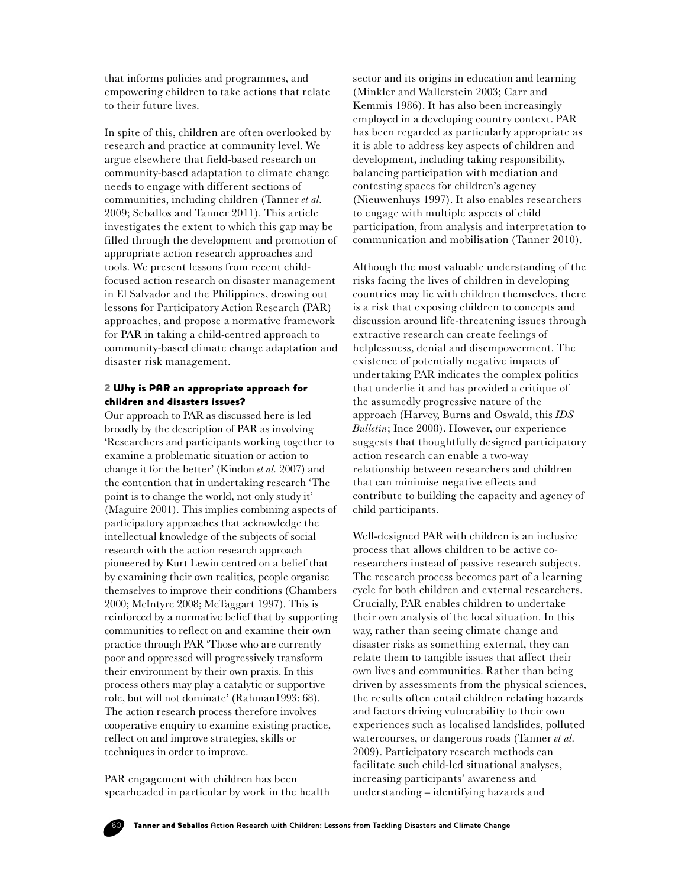that informs policies and programmes, and empowering children to take actions that relate to their future lives.

In spite of this, children are often overlooked by research and practice at community level. We argue elsewhere that field-based research on community-based adaptation to climate change needs to engage with different sections of communities, including children (Tanner *et al.* 2009; Seballos and Tanner 2011). This article investigates the extent to which this gap may be filled through the development and promotion of appropriate action research approaches and tools. We present lessons from recent childfocused action research on disaster management in El Salvador and the Philippines, drawing out lessons for Participatory Action Research (PAR) approaches, and propose a normative framework for PAR in taking a child-centred approach to community-based climate change adaptation and disaster risk management.

# 2 Why is PAR an appropriate approach for children and disasters issues?

Our approach to PAR as discussed here is led broadly by the description of PAR as involving 'Researchers and participants working together to examine a problematic situation or action to change it for the better' (Kindon *et al.* 2007) and the contention that in undertaking research 'The point is to change the world, not only study it' (Maguire 2001). This implies combining aspects of participatory approaches that acknowledge the intellectual knowledge of the subjects of social research with the action research approach pioneered by Kurt Lewin centred on a belief that by examining their own realities, people organise themselves to improve their conditions (Chambers 2000; McIntyre 2008; McTaggart 1997). This is reinforced by a normative belief that by supporting communities to reflect on and examine their own practice through PAR 'Those who are currently poor and oppressed will progressively transform their environment by their own praxis. In this process others may play a catalytic or supportive role, but will not dominate' (Rahman1993: 68). The action research process therefore involves cooperative enquiry to examine existing practice, reflect on and improve strategies, skills or techniques in order to improve.

PAR engagement with children has been spearheaded in particular by work in the health sector and its origins in education and learning (Minkler and Wallerstein 2003; Carr and Kemmis 1986). It has also been increasingly employed in a developing country context. PAR has been regarded as particularly appropriate as it is able to address key aspects of children and development, including taking responsibility, balancing participation with mediation and contesting spaces for children's agency (Nieuwenhuys 1997). It also enables researchers to engage with multiple aspects of child participation, from analysis and interpretation to communication and mobilisation (Tanner 2010).

Although the most valuable understanding of the risks facing the lives of children in developing countries may lie with children themselves, there is a risk that exposing children to concepts and discussion around life-threatening issues through extractive research can create feelings of helplessness, denial and disempowerment. The existence of potentially negative impacts of undertaking PAR indicates the complex politics that underlie it and has provided a critique of the assumedly progressive nature of the approach (Harvey, Burns and Oswald, this *IDS Bulletin*; Ince 2008). However, our experience suggests that thoughtfully designed participatory action research can enable a two-way relationship between researchers and children that can minimise negative effects and contribute to building the capacity and agency of child participants.

Well-designed PAR with children is an inclusive process that allows children to be active coresearchers instead of passive research subjects. The research process becomes part of a learning cycle for both children and external researchers. Crucially, PAR enables children to undertake their own analysis of the local situation. In this way, rather than seeing climate change and disaster risks as something external, they can relate them to tangible issues that affect their own lives and communities. Rather than being driven by assessments from the physical sciences, the results often entail children relating hazards and factors driving vulnerability to their own experiences such as localised landslides, polluted watercourses, or dangerous roads (Tanner *et al.* 2009). Participatory research methods can facilitate such child-led situational analyses, increasing participants' awareness and understanding – identifying hazards and

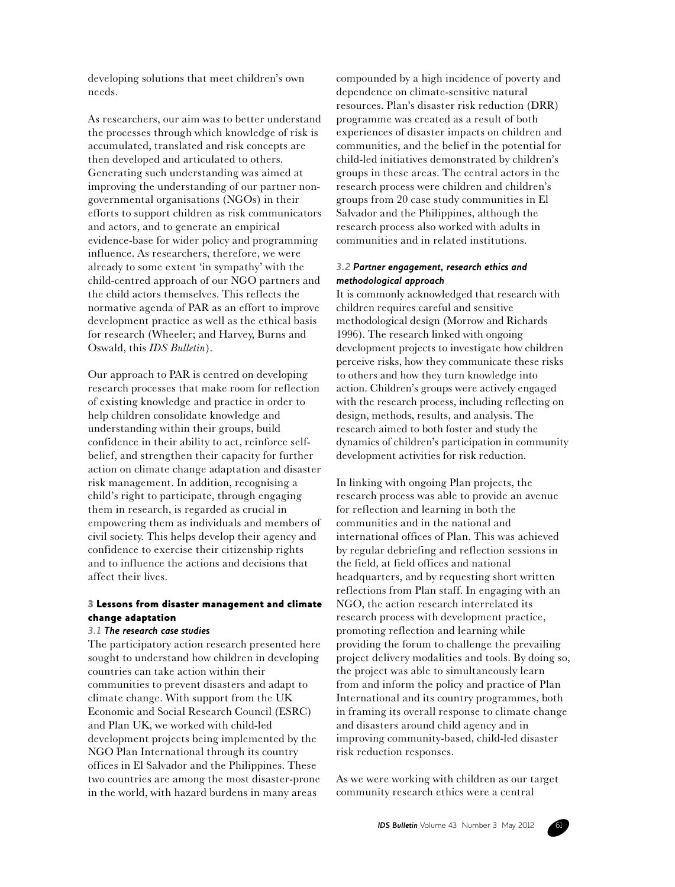developing solutions that meet children's own needs.

As researchers, our aim was to better understand the processes through which knowledge of risk is accumulated, translated and risk concepts are then developed and articulated to others. Generating such understanding was aimed at improving the understanding of our partner nongovernmental organisations (NGOs) in their efforts to support children as risk communicators and actors, and to generate an empirical evidence-base for wider policy and programming influence. As researchers, therefore, we were already to some extent 'in sympathy' with the child-centred approach of our NGO partners and the child actors themselves. This reflects the normative agenda of PAR as an effort to improve development practice as well as the ethical basis for research (Wheeler; and Harvey, Burns and Oswald, this *IDS Bulletin*).

Our approach to PAR is centred on developing research processes that make room for reflection of existing knowledge and practice in order to help children consolidate knowledge and understanding within their groups, build confidence in their ability to act, reinforce selfbelief, and strengthen their capacity for further action on climate change adaptation and disaster risk management. In addition, recognising a child's right to participate, through engaging them in research, is regarded as crucial in empowering them as individuals and members of civil society. This helps develop their agency and confidence to exercise their citizenship rights and to influence the actions and decisions that affect their lives.

# 3 Lessons from disaster management and climate change adaptation

#### *3.1 The research case studies*

The participatory action research presented here sought to understand how children in developing countries can take action within their communities to prevent disasters and adapt to climate change. With support from the UK Economic and Social Research Council (ESRC) and Plan UK, we worked with child-led development projects being implemented by the NGO Plan International through its country offices in El Salvador and the Philippines. These two countries are among the most disaster-prone in the world, with hazard burdens in many areas

compounded by a high incidence of poverty and dependence on climate-sensitive natural resources. Plan's disaster risk reduction (DRR) programme was created as a result of both experiences of disaster impacts on children and communities, and the belief in the potential for child-led initiatives demonstrated by children's groups in these areas. The central actors in the research process were children and children's groups from 20 case study communities in El Salvador and the Philippines, although the research process also worked with adults in communities and in related institutions.

# *3.2 Partner engagement, research ethics and methodological approach*

It is commonly acknowledged that research with children requires careful and sensitive methodological design (Morrow and Richards 1996). The research linked with ongoing development projects to investigate how children perceive risks, how they communicate these risks to others and how they turn knowledge into action. Children's groups were actively engaged with the research process, including reflecting on design, methods, results, and analysis. The research aimed to both foster and study the dynamics of children's participation in community development activities for risk reduction.

In linking with ongoing Plan projects, the research process was able to provide an avenue for reflection and learning in both the communities and in the national and international offices of Plan. This was achieved by regular debriefing and reflection sessions in the field, at field offices and national headquarters, and by requesting short written reflections from Plan staff. In engaging with an NGO, the action research interrelated its research process with development practice, promoting reflection and learning while providing the forum to challenge the prevailing project delivery modalities and tools. By doing so, the project was able to simultaneously learn from and inform the policy and practice of Plan International and its country programmes, both in framing its overall response to climate change and disasters around child agency and in improving community-based, child-led disaster risk reduction responses.

As we were working with children as our target community research ethics were a central

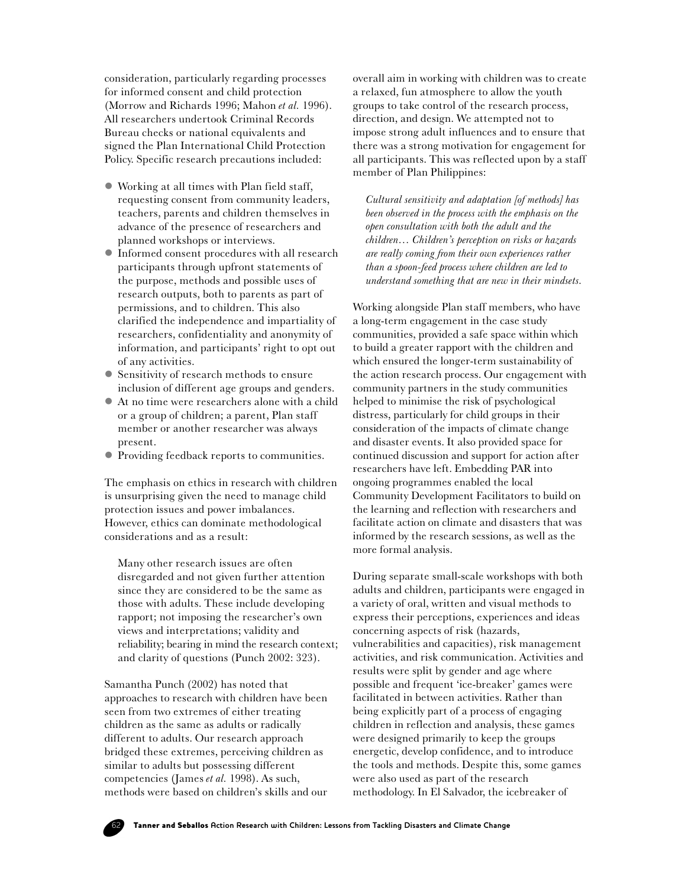consideration, particularly regarding processes for informed consent and child protection (Morrow and Richards 1996; Mahon *et al.* 1996). All researchers undertook Criminal Records Bureau checks or national equivalents and signed the Plan International Child Protection Policy. Specific research precautions included:

- Working at all times with Plan field staff, requesting consent from community leaders, teachers, parents and children themselves in advance of the presence of researchers and planned workshops or interviews.
- $\bullet$  Informed consent procedures with all research participants through upfront statements of the purpose, methods and possible uses of research outputs, both to parents as part of permissions, and to children. This also clarified the independence and impartiality of researchers, confidentiality and anonymity of information, and participants' right to opt out of any activities.
- Sensitivity of research methods to ensure inclusion of different age groups and genders.
- $\bullet$  At no time were researchers alone with a child or a group of children; a parent, Plan staff member or another researcher was always present.
- $\bullet$  Providing feedback reports to communities.

The emphasis on ethics in research with children is unsurprising given the need to manage child protection issues and power imbalances. However, ethics can dominate methodological considerations and as a result:

Many other research issues are often disregarded and not given further attention since they are considered to be the same as those with adults. These include developing rapport; not imposing the researcher's own views and interpretations; validity and reliability; bearing in mind the research context; and clarity of questions (Punch 2002: 323).

Samantha Punch (2002) has noted that approaches to research with children have been seen from two extremes of either treating children as the same as adults or radically different to adults. Our research approach bridged these extremes, perceiving children as similar to adults but possessing different competencies (James *et al.* 1998). As such, methods were based on children's skills and our overall aim in working with children was to create a relaxed, fun atmosphere to allow the youth groups to take control of the research process, direction, and design. We attempted not to impose strong adult influences and to ensure that there was a strong motivation for engagement for all participants. This was reflected upon by a staff member of Plan Philippines:

*Cultural sensitivity and adaptation [of methods] has been observed in the process with the emphasis on the open consultation with both the adult and the children… Children's perception on risks or hazards are really coming from their own experiences rather than a spoon-feed process where children are led to understand something that are new in their mindsets.*

Working alongside Plan staff members, who have a long-term engagement in the case study communities, provided a safe space within which to build a greater rapport with the children and which ensured the longer-term sustainability of the action research process. Our engagement with community partners in the study communities helped to minimise the risk of psychological distress, particularly for child groups in their consideration of the impacts of climate change and disaster events. It also provided space for continued discussion and support for action after researchers have left. Embedding PAR into ongoing programmes enabled the local Community Development Facilitators to build on the learning and reflection with researchers and facilitate action on climate and disasters that was informed by the research sessions, as well as the more formal analysis.

During separate small-scale workshops with both adults and children, participants were engaged in a variety of oral, written and visual methods to express their perceptions, experiences and ideas concerning aspects of risk (hazards, vulnerabilities and capacities), risk management activities, and risk communication. Activities and results were split by gender and age where possible and frequent 'ice-breaker' games were facilitated in between activities. Rather than being explicitly part of a process of engaging children in reflection and analysis, these games were designed primarily to keep the groups energetic, develop confidence, and to introduce the tools and methods. Despite this, some games were also used as part of the research methodology. In El Salvador, the icebreaker of

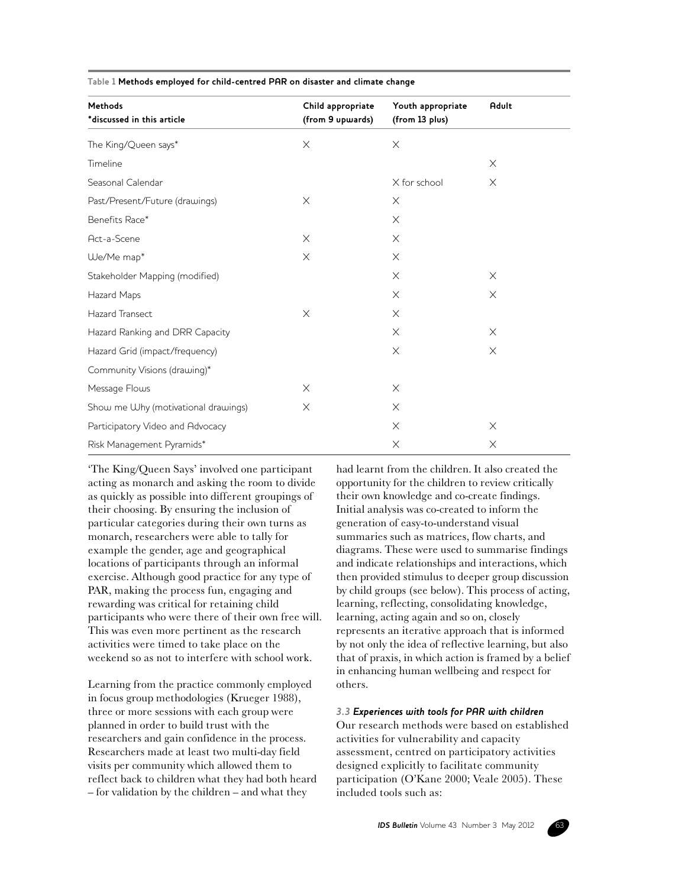| Methods<br>*discussed in this article | Child appropriate<br>(from 9 upwards) | Youth appropriate<br>(from 13 plus) | Adult    |
|---------------------------------------|---------------------------------------|-------------------------------------|----------|
| The King/Queen says*                  | $\times$                              | $\times$                            |          |
| Timeline                              |                                       |                                     | $\times$ |
| Seasonal Calendar                     |                                       | X for school                        | $\times$ |
| Past/Present/Future (drawings)        | $\times$                              | $\times$                            |          |
| Benefits Race*                        |                                       | $\times$                            |          |
| Act-a-Scene                           | $\times$                              | $\times$                            |          |
| We/Me map*                            | $\times$                              | $\times$                            |          |
| Stakeholder Mapping (modified)        |                                       | X                                   | $\times$ |
| Hazard Maps                           |                                       | $\times$                            | $\times$ |
| <b>Hazard Transect</b>                | $\times$                              | $\times$                            |          |
| Hazard Ranking and DRR Capacity       |                                       | $\times$                            | $\times$ |
| Hazard Grid (impact/frequency)        |                                       | $\times$                            | $\times$ |
| Community Visions (drawing)*          |                                       |                                     |          |
| Message Flows                         | $\times$                              | X                                   |          |
| Show me Why (motivational drawings)   | $\times$                              | X                                   |          |
| Participatory Video and Advocacy      |                                       | $\times$                            | $\times$ |
| Risk Management Pyramids*             |                                       | X                                   | X        |

#### **Table 1 Methods employed for child-centred PAR on disaster and climate change**

'The King/Queen Says' involved one participant acting as monarch and asking the room to divide as quickly as possible into different groupings of their choosing. By ensuring the inclusion of particular categories during their own turns as monarch, researchers were able to tally for example the gender, age and geographical locations of participants through an informal exercise. Although good practice for any type of PAR, making the process fun, engaging and rewarding was critical for retaining child participants who were there of their own free will. This was even more pertinent as the research activities were timed to take place on the weekend so as not to interfere with school work.

Learning from the practice commonly employed in focus group methodologies (Krueger 1988), three or more sessions with each group were planned in order to build trust with the researchers and gain confidence in the process. Researchers made at least two multi-day field visits per community which allowed them to reflect back to children what they had both heard – for validation by the children – and what they

had learnt from the children. It also created the opportunity for the children to review critically their own knowledge and co-create findings. Initial analysis was co-created to inform the generation of easy-to-understand visual summaries such as matrices, flow charts, and diagrams. These were used to summarise findings and indicate relationships and interactions, which then provided stimulus to deeper group discussion by child groups (see below). This process of acting, learning, reflecting, consolidating knowledge, learning, acting again and so on, closely represents an iterative approach that is informed by not only the idea of reflective learning, but also that of praxis, in which action is framed by a belief in enhancing human wellbeing and respect for others.

#### *3.3 Experiences with tools for PAR with children*

Our research methods were based on established activities for vulnerability and capacity assessment, centred on participatory activities designed explicitly to facilitate community participation (O'Kane 2000; Veale 2005). These included tools such as:

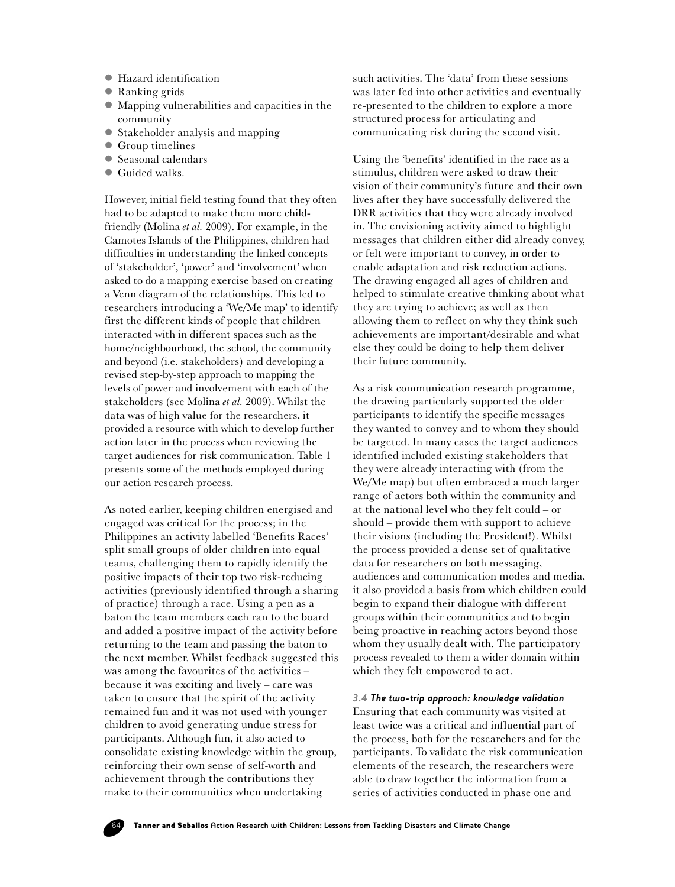- Hazard identification
- $\bullet$  Ranking grids
- $\bullet$  Mapping vulnerabilities and capacities in the community
- $\bullet$  Stakeholder analysis and mapping
- **Group timelines**
- Seasonal calendars
- $\bullet$  Guided walks.

However, initial field testing found that they often had to be adapted to make them more childfriendly (Molina *et al.* 2009). For example, in the Camotes Islands of the Philippines, children had difficulties in understanding the linked concepts of 'stakeholder', 'power' and 'involvement' when asked to do a mapping exercise based on creating a Venn diagram of the relationships. This led to researchers introducing a 'We/Me map' to identify first the different kinds of people that children interacted with in different spaces such as the home/neighbourhood, the school, the community and beyond (i.e. stakeholders) and developing a revised step-by-step approach to mapping the levels of power and involvement with each of the stakeholders (see Molina *et al.* 2009). Whilst the data was of high value for the researchers, it provided a resource with which to develop further action later in the process when reviewing the target audiences for risk communication. Table 1 presents some of the methods employed during our action research process.

As noted earlier, keeping children energised and engaged was critical for the process; in the Philippines an activity labelled 'Benefits Races' split small groups of older children into equal teams, challenging them to rapidly identify the positive impacts of their top two risk-reducing activities (previously identified through a sharing of practice) through a race. Using a pen as a baton the team members each ran to the board and added a positive impact of the activity before returning to the team and passing the baton to the next member. Whilst feedback suggested this was among the favourites of the activities – because it was exciting and lively – care was taken to ensure that the spirit of the activity remained fun and it was not used with younger children to avoid generating undue stress for participants. Although fun, it also acted to consolidate existing knowledge within the group, reinforcing their own sense of self-worth and achievement through the contributions they make to their communities when undertaking

such activities. The 'data' from these sessions was later fed into other activities and eventually re-presented to the children to explore a more structured process for articulating and communicating risk during the second visit.

Using the 'benefits' identified in the race as a stimulus, children were asked to draw their vision of their community's future and their own lives after they have successfully delivered the DRR activities that they were already involved in. The envisioning activity aimed to highlight messages that children either did already convey, or felt were important to convey, in order to enable adaptation and risk reduction actions. The drawing engaged all ages of children and helped to stimulate creative thinking about what they are trying to achieve; as well as then allowing them to reflect on why they think such achievements are important/desirable and what else they could be doing to help them deliver their future community.

As a risk communication research programme, the drawing particularly supported the older participants to identify the specific messages they wanted to convey and to whom they should be targeted. In many cases the target audiences identified included existing stakeholders that they were already interacting with (from the We/Me map) but often embraced a much larger range of actors both within the community and at the national level who they felt could – or should – provide them with support to achieve their visions (including the President!). Whilst the process provided a dense set of qualitative data for researchers on both messaging, audiences and communication modes and media, it also provided a basis from which children could begin to expand their dialogue with different groups within their communities and to begin being proactive in reaching actors beyond those whom they usually dealt with. The participatory process revealed to them a wider domain within which they felt empowered to act.

#### *3.4 The two-trip approach: knowledge validation*

Ensuring that each community was visited at least twice was a critical and influential part of the process, both for the researchers and for the participants. To validate the risk communication elements of the research, the researchers were able to draw together the information from a series of activities conducted in phase one and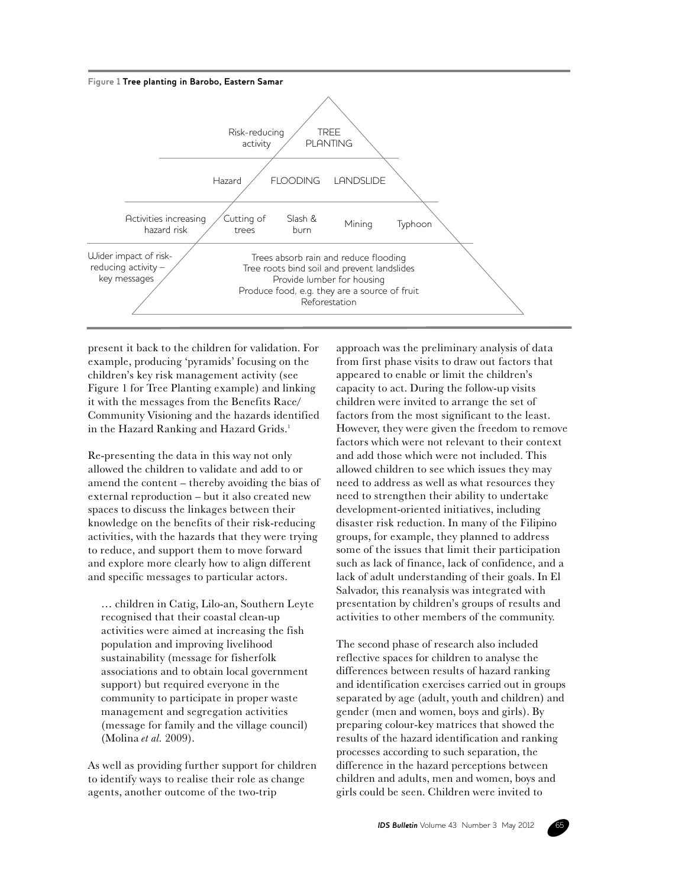#### **Figure 1 Tree planting in Barobo, Eastern Samar**



present it back to the children for validation. For example, producing 'pyramids' focusing on the children's key risk management activity (see Figure 1 for Tree Planting example) and linking it with the messages from the Benefits Race/ Community Visioning and the hazards identified in the Hazard Ranking and Hazard Grids.<sup>1</sup>

Re-presenting the data in this way not only allowed the children to validate and add to or amend the content – thereby avoiding the bias of external reproduction – but it also created new spaces to discuss the linkages between their knowledge on the benefits of their risk-reducing activities, with the hazards that they were trying to reduce, and support them to move forward and explore more clearly how to align different and specific messages to particular actors.

… children in Catig, Lilo-an, Southern Leyte recognised that their coastal clean-up activities were aimed at increasing the fish population and improving livelihood sustainability (message for fisherfolk associations and to obtain local government support) but required everyone in the community to participate in proper waste management and segregation activities (message for family and the village council) (Molina *et al.* 2009).

As well as providing further support for children to identify ways to realise their role as change agents, another outcome of the two-trip

approach was the preliminary analysis of data from first phase visits to draw out factors that appeared to enable or limit the children's capacity to act. During the follow-up visits children were invited to arrange the set of factors from the most significant to the least. However, they were given the freedom to remove factors which were not relevant to their context and add those which were not included. This allowed children to see which issues they may need to address as well as what resources they need to strengthen their ability to undertake development-oriented initiatives, including disaster risk reduction. In many of the Filipino groups, for example, they planned to address some of the issues that limit their participation such as lack of finance, lack of confidence, and a lack of adult understanding of their goals. In El Salvador, this reanalysis was integrated with presentation by children's groups of results and activities to other members of the community.

The second phase of research also included reflective spaces for children to analyse the differences between results of hazard ranking and identification exercises carried out in groups separated by age (adult, youth and children) and gender (men and women, boys and girls). By preparing colour-key matrices that showed the results of the hazard identification and ranking processes according to such separation, the difference in the hazard perceptions between children and adults, men and women, boys and girls could be seen. Children were invited to

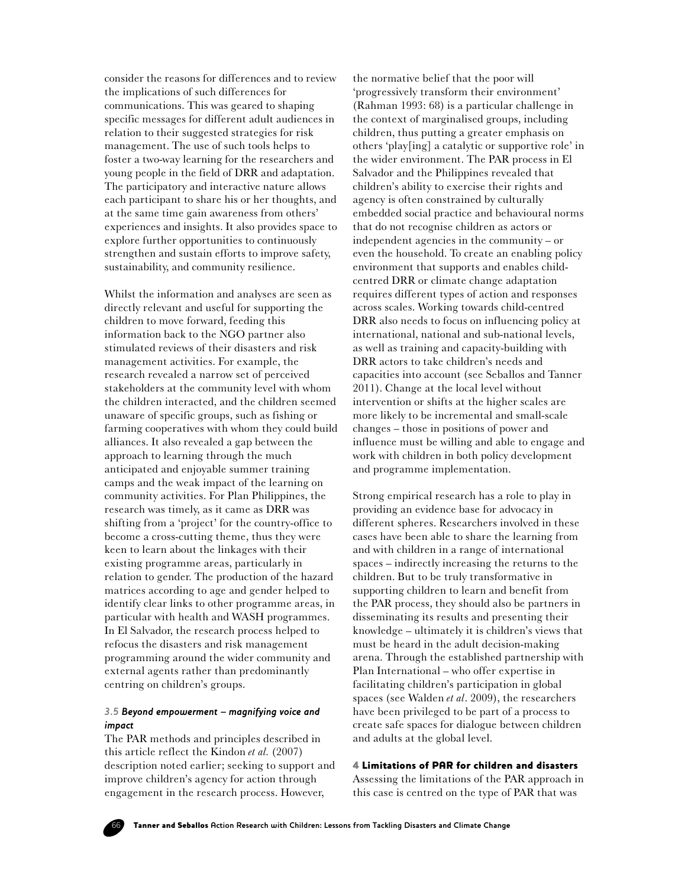consider the reasons for differences and to review the implications of such differences for communications. This was geared to shaping specific messages for different adult audiences in relation to their suggested strategies for risk management. The use of such tools helps to foster a two-way learning for the researchers and young people in the field of DRR and adaptation. The participatory and interactive nature allows each participant to share his or her thoughts, and at the same time gain awareness from others' experiences and insights. It also provides space to explore further opportunities to continuously strengthen and sustain efforts to improve safety, sustainability, and community resilience.

Whilst the information and analyses are seen as directly relevant and useful for supporting the children to move forward, feeding this information back to the NGO partner also stimulated reviews of their disasters and risk management activities. For example, the research revealed a narrow set of perceived stakeholders at the community level with whom the children interacted, and the children seemed unaware of specific groups, such as fishing or farming cooperatives with whom they could build alliances. It also revealed a gap between the approach to learning through the much anticipated and enjoyable summer training camps and the weak impact of the learning on community activities. For Plan Philippines, the research was timely, as it came as DRR was shifting from a 'project' for the country-office to become a cross-cutting theme, thus they were keen to learn about the linkages with their existing programme areas, particularly in relation to gender. The production of the hazard matrices according to age and gender helped to identify clear links to other programme areas, in particular with health and WASH programmes. In El Salvador, the research process helped to refocus the disasters and risk management programming around the wider community and external agents rather than predominantly centring on children's groups.

## *3.5 Beyond empowerment – magnifying voice and impact*

The PAR methods and principles described in this article reflect the Kindon *et al.* (2007) description noted earlier; seeking to support and improve children's agency for action through engagement in the research process. However,

the normative belief that the poor will 'progressively transform their environment' (Rahman 1993: 68) is a particular challenge in the context of marginalised groups, including children, thus putting a greater emphasis on others 'play[ing] a catalytic or supportive role' in the wider environment. The PAR process in El Salvador and the Philippines revealed that children's ability to exercise their rights and agency is often constrained by culturally embedded social practice and behavioural norms that do not recognise children as actors or independent agencies in the community – or even the household. To create an enabling policy environment that supports and enables childcentred DRR or climate change adaptation requires different types of action and responses across scales. Working towards child-centred DRR also needs to focus on influencing policy at international, national and sub-national levels, as well as training and capacity-building with DRR actors to take children's needs and capacities into account (see Seballos and Tanner 2011). Change at the local level without intervention or shifts at the higher scales are more likely to be incremental and small-scale changes – those in positions of power and influence must be willing and able to engage and work with children in both policy development and programme implementation.

Strong empirical research has a role to play in providing an evidence base for advocacy in different spheres. Researchers involved in these cases have been able to share the learning from and with children in a range of international spaces – indirectly increasing the returns to the children. But to be truly transformative in supporting children to learn and benefit from the PAR process, they should also be partners in disseminating its results and presenting their knowledge – ultimately it is children's views that must be heard in the adult decision-making arena. Through the established partnership with Plan International – who offer expertise in facilitating children's participation in global spaces (see Walden *et al*. 2009), the researchers have been privileged to be part of a process to create safe spaces for dialogue between children and adults at the global level.

# 4 Limitations of PAR for children and disasters

Assessing the limitations of the PAR approach in this case is centred on the type of PAR that was

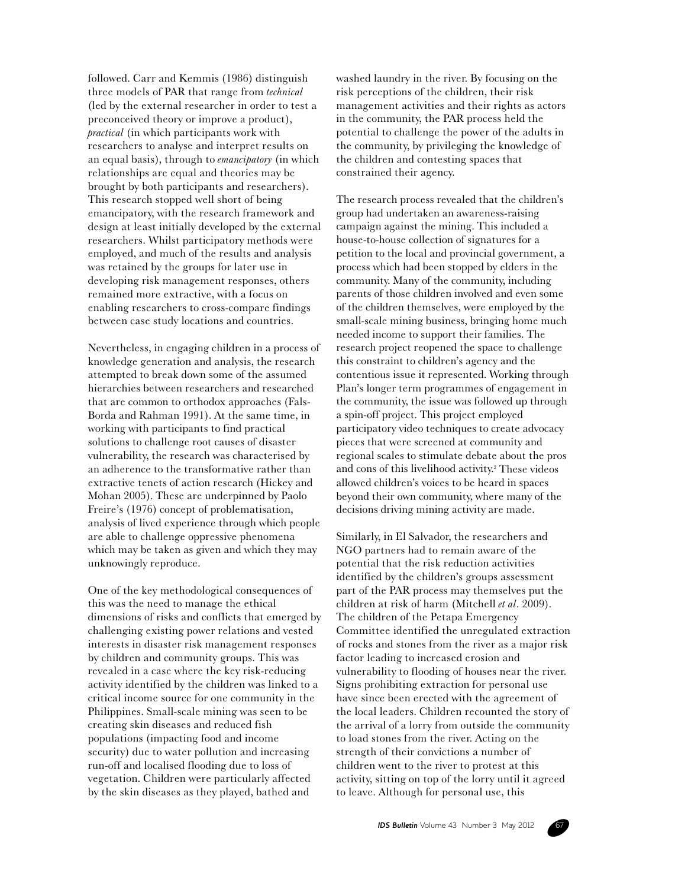followed. Carr and Kemmis (1986) distinguish three models of PAR that range from *technical* (led by the external researcher in order to test a preconceived theory or improve a product), *practical* (in which participants work with researchers to analyse and interpret results on an equal basis), through to *emancipatory* (in which relationships are equal and theories may be brought by both participants and researchers). This research stopped well short of being emancipatory, with the research framework and design at least initially developed by the external researchers. Whilst participatory methods were employed, and much of the results and analysis was retained by the groups for later use in developing risk management responses, others remained more extractive, with a focus on enabling researchers to cross-compare findings between case study locations and countries.

Nevertheless, in engaging children in a process of knowledge generation and analysis, the research attempted to break down some of the assumed hierarchies between researchers and researched that are common to orthodox approaches (Fals-Borda and Rahman 1991). At the same time, in working with participants to find practical solutions to challenge root causes of disaster vulnerability, the research was characterised by an adherence to the transformative rather than extractive tenets of action research (Hickey and Mohan 2005). These are underpinned by Paolo Freire's (1976) concept of problematisation, analysis of lived experience through which people are able to challenge oppressive phenomena which may be taken as given and which they may unknowingly reproduce.

One of the key methodological consequences of this was the need to manage the ethical dimensions of risks and conflicts that emerged by challenging existing power relations and vested interests in disaster risk management responses by children and community groups. This was revealed in a case where the key risk-reducing activity identified by the children was linked to a critical income source for one community in the Philippines. Small-scale mining was seen to be creating skin diseases and reduced fish populations (impacting food and income security) due to water pollution and increasing run-off and localised flooding due to loss of vegetation. Children were particularly affected by the skin diseases as they played, bathed and

washed laundry in the river. By focusing on the risk perceptions of the children, their risk management activities and their rights as actors in the community, the PAR process held the potential to challenge the power of the adults in the community, by privileging the knowledge of the children and contesting spaces that constrained their agency.

The research process revealed that the children's group had undertaken an awareness-raising campaign against the mining. This included a house-to-house collection of signatures for a petition to the local and provincial government, a process which had been stopped by elders in the community. Many of the community, including parents of those children involved and even some of the children themselves, were employed by the small-scale mining business, bringing home much needed income to support their families. The research project reopened the space to challenge this constraint to children's agency and the contentious issue it represented. Working through Plan's longer term programmes of engagement in the community, the issue was followed up through a spin-off project. This project employed participatory video techniques to create advocacy pieces that were screened at community and regional scales to stimulate debate about the pros and cons of this livelihood activity.2 These videos allowed children's voices to be heard in spaces beyond their own community, where many of the decisions driving mining activity are made.

Similarly, in El Salvador, the researchers and NGO partners had to remain aware of the potential that the risk reduction activities identified by the children's groups assessment part of the PAR process may themselves put the children at risk of harm (Mitchell *et al*. 2009). The children of the Petapa Emergency Committee identified the unregulated extraction of rocks and stones from the river as a major risk factor leading to increased erosion and vulnerability to flooding of houses near the river. Signs prohibiting extraction for personal use have since been erected with the agreement of the local leaders. Children recounted the story of the arrival of a lorry from outside the community to load stones from the river. Acting on the strength of their convictions a number of children went to the river to protest at this activity, sitting on top of the lorry until it agreed to leave. Although for personal use, this

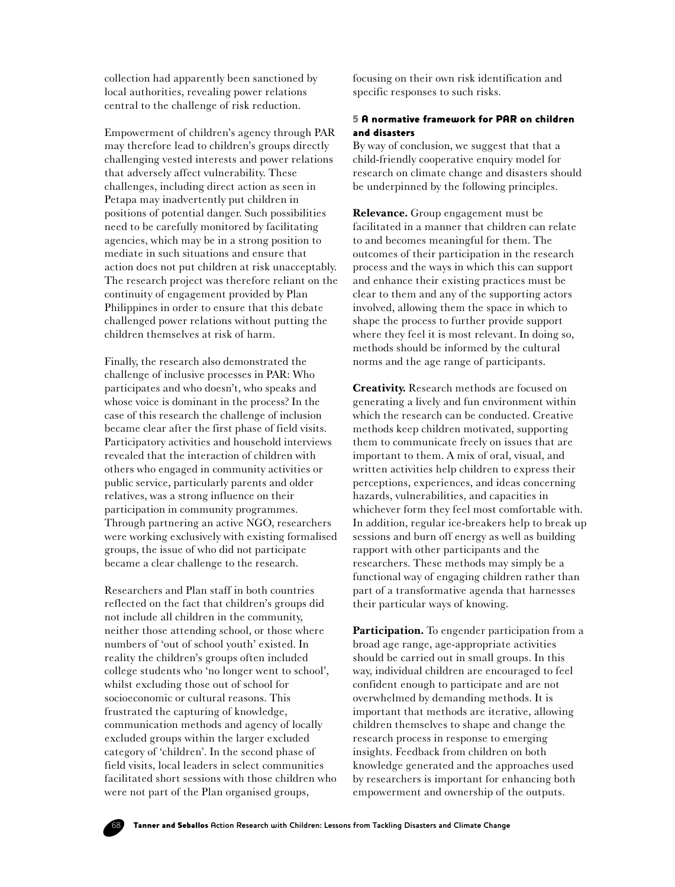collection had apparently been sanctioned by local authorities, revealing power relations central to the challenge of risk reduction.

Empowerment of children's agency through PAR may therefore lead to children's groups directly challenging vested interests and power relations that adversely affect vulnerability. These challenges, including direct action as seen in Petapa may inadvertently put children in positions of potential danger. Such possibilities need to be carefully monitored by facilitating agencies, which may be in a strong position to mediate in such situations and ensure that action does not put children at risk unacceptably. The research project was therefore reliant on the continuity of engagement provided by Plan Philippines in order to ensure that this debate challenged power relations without putting the children themselves at risk of harm.

Finally, the research also demonstrated the challenge of inclusive processes in PAR: Who participates and who doesn't, who speaks and whose voice is dominant in the process? In the case of this research the challenge of inclusion became clear after the first phase of field visits. Participatory activities and household interviews revealed that the interaction of children with others who engaged in community activities or public service, particularly parents and older relatives, was a strong influence on their participation in community programmes. Through partnering an active NGO, researchers were working exclusively with existing formalised groups, the issue of who did not participate became a clear challenge to the research.

Researchers and Plan staff in both countries reflected on the fact that children's groups did not include all children in the community, neither those attending school, or those where numbers of 'out of school youth' existed. In reality the children's groups often included college students who 'no longer went to school', whilst excluding those out of school for socioeconomic or cultural reasons. This frustrated the capturing of knowledge, communication methods and agency of locally excluded groups within the larger excluded category of 'children'. In the second phase of field visits, local leaders in select communities facilitated short sessions with those children who were not part of the Plan organised groups,

focusing on their own risk identification and specific responses to such risks.

# 5 A normative framework for PAR on children and disasters

By way of conclusion, we suggest that that a child-friendly cooperative enquiry model for research on climate change and disasters should be underpinned by the following principles.

**Relevance.** Group engagement must be facilitated in a manner that children can relate to and becomes meaningful for them. The outcomes of their participation in the research process and the ways in which this can support and enhance their existing practices must be clear to them and any of the supporting actors involved, allowing them the space in which to shape the process to further provide support where they feel it is most relevant. In doing so, methods should be informed by the cultural norms and the age range of participants.

**Creativity.** Research methods are focused on generating a lively and fun environment within which the research can be conducted. Creative methods keep children motivated, supporting them to communicate freely on issues that are important to them. A mix of oral, visual, and written activities help children to express their perceptions, experiences, and ideas concerning hazards, vulnerabilities, and capacities in whichever form they feel most comfortable with. In addition, regular ice-breakers help to break up sessions and burn off energy as well as building rapport with other participants and the researchers. These methods may simply be a functional way of engaging children rather than part of a transformative agenda that harnesses their particular ways of knowing.

**Participation.** To engender participation from a broad age range, age-appropriate activities should be carried out in small groups. In this way, individual children are encouraged to feel confident enough to participate and are not overwhelmed by demanding methods. It is important that methods are iterative, allowing children themselves to shape and change the research process in response to emerging insights. Feedback from children on both knowledge generated and the approaches used by researchers is important for enhancing both empowerment and ownership of the outputs.

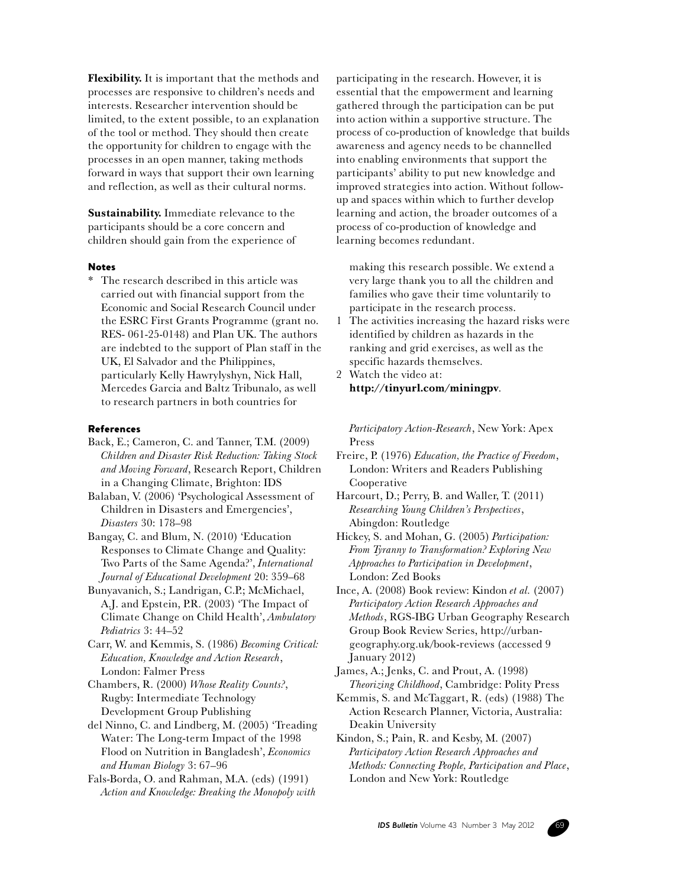**Flexibility.** It is important that the methods and processes are responsive to children's needs and interests. Researcher intervention should be limited, to the extent possible, to an explanation of the tool or method. They should then create the opportunity for children to engage with the processes in an open manner, taking methods forward in ways that support their own learning and reflection, as well as their cultural norms.

**Sustainability.** Immediate relevance to the participants should be a core concern and children should gain from the experience of

#### Notes

\* The research described in this article was carried out with financial support from the Economic and Social Research Council under the ESRC First Grants Programme (grant no. RES- 061-25-0148) and Plan UK. The authors are indebted to the support of Plan staff in the UK, El Salvador and the Philippines, particularly Kelly Hawrylyshyn, Nick Hall, Mercedes Garcia and Baltz Tribunalo, as well to research partners in both countries for

#### References

- Back, E.; Cameron, C. and Tanner, T.M. (2009) *Children and Disaster Risk Reduction: Taking Stock and Moving Forward*, Research Report, Children in a Changing Climate, Brighton: IDS
- Balaban, V. (2006) 'Psychological Assessment of Children in Disasters and Emergencies', *Disasters* 30: 178–98
- Bangay, C. and Blum, N. (2010) 'Education Responses to Climate Change and Quality: Two Parts of the Same Agenda?', *International Journal of Educational Development* 20: 359–68
- Bunyavanich, S.; Landrigan, C.P.; McMichael, A.J. and Epstein, P.R. (2003) 'The Impact of Climate Change on Child Health', *Ambulatory Pediatrics* 3: 44–52
- Carr, W. and Kemmis, S. (1986) *Becoming Critical: Education, Knowledge and Action Research*, London: Falmer Press
- Chambers, R. (2000) *Whose Reality Counts?*, Rugby: Intermediate Technology Development Group Publishing
- del Ninno, C. and Lindberg, M. (2005) 'Treading Water: The Long-term Impact of the 1998 Flood on Nutrition in Bangladesh', *Economics and Human Biology* 3: 67–96
- Fals-Borda, O. and Rahman, M.A. (eds) (1991) *Action and Knowledge: Breaking the Monopoly with*

participating in the research. However, it is essential that the empowerment and learning gathered through the participation can be put into action within a supportive structure. The process of co-production of knowledge that builds awareness and agency needs to be channelled into enabling environments that support the participants' ability to put new knowledge and improved strategies into action. Without followup and spaces within which to further develop learning and action, the broader outcomes of a process of co-production of knowledge and learning becomes redundant.

making this research possible. We extend a very large thank you to all the children and families who gave their time voluntarily to participate in the research process.

- 1 The activities increasing the hazard risks were identified by children as hazards in the ranking and grid exercises, as well as the specific hazards themselves.
- 2 Watch the video at: **http://tinyurl.com/miningpv**.

*Participatory Action-Research*, New York: Apex Press

- Freire, P. (1976) *Education, the Practice of Freedom*, London: Writers and Readers Publishing Cooperative
- Harcourt, D.; Perry, B. and Waller, T. (2011) *Researching Young Children's Perspectives*, Abingdon: Routledge
- Hickey, S. and Mohan, G. (2005) *Participation: From Tyranny to Transformation? Exploring New Approaches to Participation in Development*, London: Zed Books
- Ince, A. (2008) Book review: Kindon *et al.* (2007) *Participatory Action Research Approaches and Methods*, RGS-IBG Urban Geography Research Group Book Review Series, http://urbangeography.org.uk/book-reviews (accessed 9 January 2012)
- James, A.; Jenks, C. and Prout, A. (1998) *Theorizing Childhood*, Cambridge: Polity Press
- Kemmis, S. and McTaggart, R. (eds) (1988) The Action Research Planner, Victoria, Australia: Deakin University
- Kindon, S.; Pain, R. and Kesby, M. (2007) *Participatory Action Research Approaches and Methods: Connecting People, Participation and Place*, London and New York: Routledge